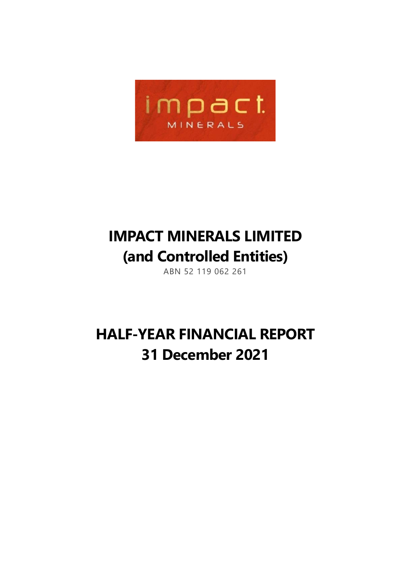

## **IMPACT MINERALS LIMITED (and Controlled Entities)**

ABN 52 119 062 261

## **HALF-YEAR FINANCIAL REPORT 31 December 2021**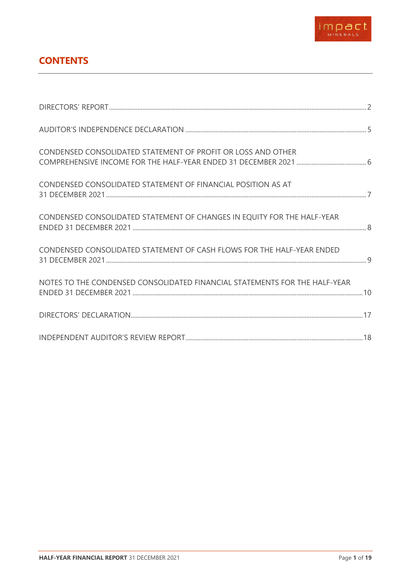

## **CONTENTS**

| CONDENSED CONSOLIDATED STATEMENT OF PROFIT OR LOSS AND OTHER               |  |
|----------------------------------------------------------------------------|--|
| CONDENSED CONSOLIDATED STATEMENT OF FINANCIAL POSITION AS AT               |  |
| CONDENSED CONSOLIDATED STATEMENT OF CHANGES IN EQUITY FOR THE HALF-YEAR    |  |
| CONDENSED CONSOLIDATED STATEMENT OF CASH FLOWS FOR THE HALF-YEAR ENDED     |  |
| NOTES TO THE CONDENSED CONSOLIDATED FINANCIAL STATEMENTS FOR THE HALF-YEAR |  |
|                                                                            |  |
|                                                                            |  |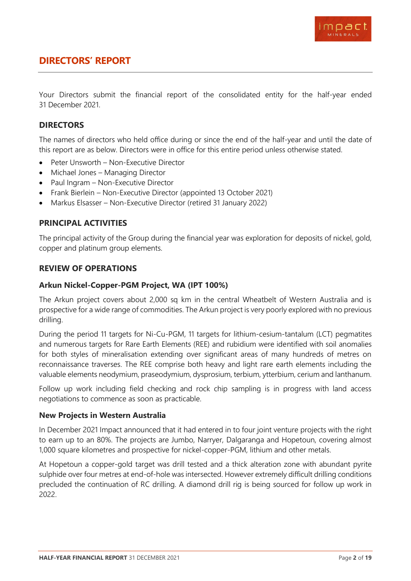

### <span id="page-2-0"></span>**DIRECTORS' REPORT**

Your Directors submit the financial report of the consolidated entity for the half-year ended 31 December 2021.

#### **DIRECTORS**

The names of directors who held office during or since the end of the half-year and until the date of this report are as below. Directors were in office for this entire period unless otherwise stated.

- Peter Unsworth Non-Executive Director
- Michael Jones Managing Director
- Paul Ingram Non-Executive Director
- Frank Bierlein Non-Executive Director (appointed 13 October 2021)
- Markus Elsasser Non-Executive Director (retired 31 January 2022)

#### **PRINCIPAL ACTIVITIES**

The principal activity of the Group during the financial year was exploration for deposits of nickel, gold, copper and platinum group elements.

#### **REVIEW OF OPERATIONS**

#### **Arkun Nickel-Copper-PGM Project, WA (IPT 100%)**

The Arkun project covers about 2,000 sq km in the central Wheatbelt of Western Australia and is prospective for a wide range of commodities. The Arkun project is very poorly explored with no previous drilling.

During the period 11 targets for Ni-Cu-PGM, 11 targets for lithium-cesium-tantalum (LCT) pegmatites and numerous targets for Rare Earth Elements (REE) and rubidium were identified with soil anomalies for both styles of mineralisation extending over significant areas of many hundreds of metres on reconnaissance traverses. The REE comprise both heavy and light rare earth elements including the valuable elements neodymium, praseodymium, dysprosium, terbium, ytterbium, cerium and lanthanum.

Follow up work including field checking and rock chip sampling is in progress with land access negotiations to commence as soon as practicable.

#### **New Projects in Western Australia**

In December 2021 Impact announced that it had entered in to four joint venture projects with the right to earn up to an 80%. The projects are Jumbo, Narryer, Dalgaranga and Hopetoun, covering almost 1,000 square kilometres and prospective for nickel-copper-PGM, lithium and other metals.

At Hopetoun a copper-gold target was drill tested and a thick alteration zone with abundant pyrite sulphide over four metres at end-of-hole was intersected. However extremely difficult drilling conditions precluded the continuation of RC drilling. A diamond drill rig is being sourced for follow up work in 2022.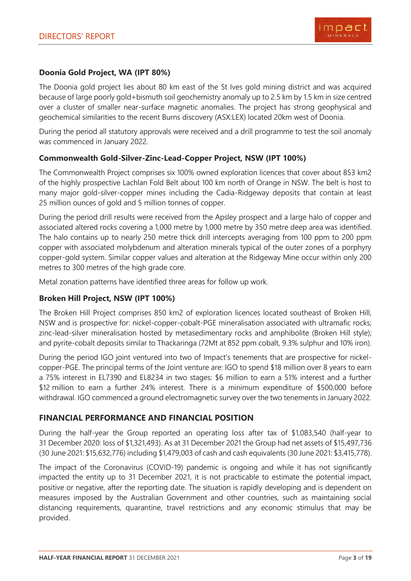#### **Doonia Gold Project, WA (IPT 80%)**

The Doonia gold project lies about 80 km east of the St Ives gold mining district and was acquired because of large poorly gold+bismuth soil geochemistry anomaly up to 2.5 km by 1.5 km in size centred over a cluster of smaller near-surface magnetic anomalies. The project has strong geophysical and geochemical similarities to the recent Burns discovery (ASX:LEX) located 20km west of Doonia.

During the period all statutory approvals were received and a drill programme to test the soil anomaly was commenced in January 2022.

#### **Commonwealth Gold-Silver-Zinc-Lead-Copper Project, NSW (IPT 100%)**

The Commonwealth Project comprises six 100% owned exploration licences that cover about 853 km2 of the highly prospective Lachlan Fold Belt about 100 km north of Orange in NSW. The belt is host to many major gold-silver-copper mines including the Cadia-Ridgeway deposits that contain at least 25 million ounces of gold and 5 million tonnes of copper.

During the period drill results were received from the Apsley prospect and a large halo of copper and associated altered rocks covering a 1,000 metre by 1,000 metre by 350 metre deep area was identified. The halo contains up to nearly 250 metre thick drill intercepts averaging from 100 ppm to 200 ppm copper with associated molybdenum and alteration minerals typical of the outer zones of a porphyry copper-gold system. Similar copper values and alteration at the Ridgeway Mine occur within only 200 metres to 300 metres of the high grade core.

Metal zonation patterns have identified three areas for follow up work.

#### **Broken Hill Project, NSW (IPT 100%)**

The Broken Hill Project comprises 850 km2 of exploration licences located southeast of Broken Hill, NSW and is prospective for: nickel-copper-cobalt-PGE mineralisation associated with ultramafic rocks; zinc-lead-silver mineralisation hosted by metasedimentary rocks and amphibolite (Broken Hill style); and pyrite-cobalt deposits similar to Thackaringa (72Mt at 852 ppm cobalt, 9.3% sulphur and 10% iron).

During the period IGO joint ventured into two of Impact's tenements that are prospective for nickelcopper-PGE. The principal terms of the Joint venture are: IGO to spend \$18 million over 8 years to earn a 75% interest in EL7390 and EL8234 in two stages: \$6 million to earn a 51% interest and a further \$12 million to earn a further 24% interest. There is a minimum expenditure of \$500,000 before withdrawal. IGO commenced a ground electromagnetic survey over the two tenements in January 2022.

#### **FINANCIAL PERFORMANCE AND FINANCIAL POSITION**

During the half-year the Group reported an operating loss after tax of \$1,083,540 (half-year to 31 December 2020: loss of \$1,321,493). As at 31 December 2021 the Group had net assets of \$15,497,736 (30 June 2021: \$15,632,776) including \$1,479,003 of cash and cash equivalents (30 June 2021: \$3,415,778).

The impact of the Coronavirus (COVID-19) pandemic is ongoing and while it has not significantly impacted the entity up to 31 December 2021, it is not practicable to estimate the potential impact, positive or negative, after the reporting date. The situation is rapidly developing and is dependent on measures imposed by the Australian Government and other countries, such as maintaining social distancing requirements, quarantine, travel restrictions and any economic stimulus that may be provided.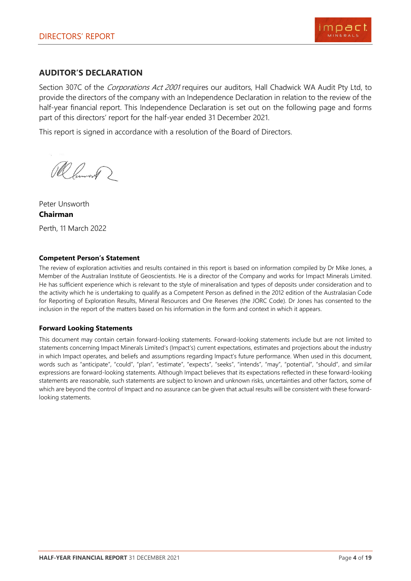

#### **AUDITOR'S DECLARATION**

Section 307C of the *Corporations Act 2001* requires our auditors, Hall Chadwick WA Audit Pty Ltd, to provide the directors of the company with an Independence Declaration in relation to the review of the half-year financial report. This Independence Declaration is set out on the following page and forms part of this directors' report for the half-year ended 31 December 2021.

This report is signed in accordance with a resolution of the Board of Directors.

Ramont 2

Peter Unsworth **Chairman** Perth, 11 March 2022

#### **Competent Person's Statement**

The review of exploration activities and results contained in this report is based on information compiled by Dr Mike Jones, a Member of the Australian Institute of Geoscientists. He is a director of the Company and works for Impact Minerals Limited. He has sufficient experience which is relevant to the style of mineralisation and types of deposits under consideration and to the activity which he is undertaking to qualify as a Competent Person as defined in the 2012 edition of the Australasian Code for Reporting of Exploration Results, Mineral Resources and Ore Reserves (the JORC Code). Dr Jones has consented to the inclusion in the report of the matters based on his information in the form and context in which it appears.

#### **Forward Looking Statements**

This document may contain certain forward-looking statements. Forward-looking statements include but are not limited to statements concerning Impact Minerals Limited's (Impact's) current expectations, estimates and projections about the industry in which Impact operates, and beliefs and assumptions regarding Impact's future performance. When used in this document, words such as "anticipate", "could", "plan", "estimate", "expects", "seeks", "intends", "may", "potential", "should", and similar expressions are forward-looking statements. Although Impact believes that its expectations reflected in these forward-looking statements are reasonable, such statements are subject to known and unknown risks, uncertainties and other factors, some of which are beyond the control of Impact and no assurance can be given that actual results will be consistent with these forwardlooking statements.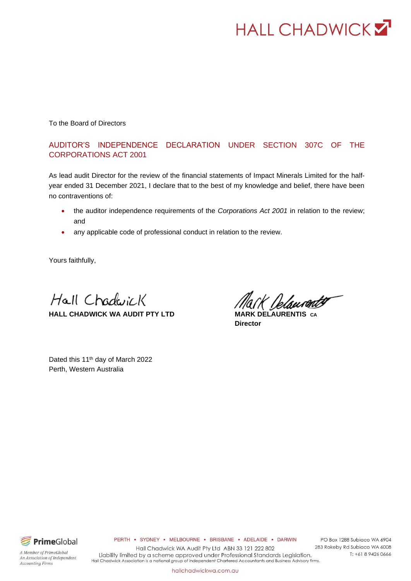

To the Board of Directors

#### AUDITOR'S INDEPENDENCE DECLARATION UNDER SECTION 307C OF THE CORPORATIONS ACT 2001

As lead audit Director for the review of the financial statements of Impact Minerals Limited for the halfyear ended 31 December 2021, I declare that to the best of my knowledge and belief, there have been no contraventions of:

- the auditor independence requirements of the *Corporations Act 2001* in relation to the review; and
- any applicable code of professional conduct in relation to the review.

Yours faithfully,

Hall Chadwick **HALL CHADWICK WA AUDIT PTY LTD MARK DELAURENTIS CA**

K Delsureatt

**Director**

Dated this 11<sup>th</sup> day of March 2022 Perth, Western Australia



An Association of Independent

A Member of PrimeGlobal

**Accounting Firms** 

PERTH . SYDNEY . MELBOURNE . BRISBANE . ADELAIDE . DARWIN

Hall Chadwick WA Audit Pty Ltd ABN 33 121 222 802 Liability limited by a scheme approved under Professional Standards Legislation. Hall Chadwick Association is a national group of independent Chartered Accountants and Business Advisory firms.

PO Box 1288 Subiaco WA 6904 283 Rokeby Rd Subiaco WA 6008 T: +61 8 9426 0666

hallchadwickwa.com.au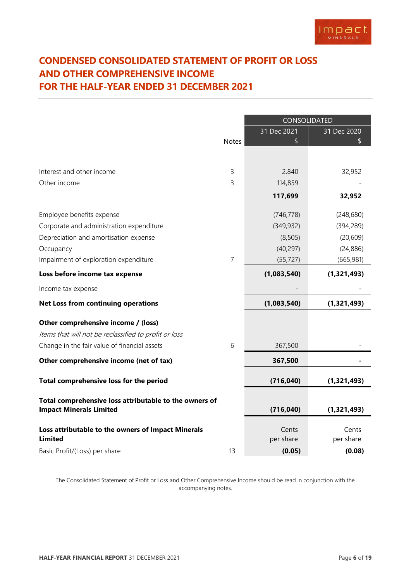## <span id="page-6-0"></span>**CONDENSED CONSOLIDATED STATEMENT OF PROFIT OR LOSS AND OTHER COMPREHENSIVE INCOME FOR THE HALF-YEAR ENDED 31 DECEMBER 2021**

|                                                        |                | CONSOLIDATED |             |  |
|--------------------------------------------------------|----------------|--------------|-------------|--|
|                                                        |                | 31 Dec 2021  | 31 Dec 2020 |  |
|                                                        | <b>Notes</b>   | \$           | \$          |  |
|                                                        |                |              |             |  |
| Interest and other income                              | 3              | 2,840        | 32,952      |  |
| Other income                                           | 3              | 114,859      |             |  |
|                                                        |                | 117,699      | 32,952      |  |
| Employee benefits expense                              |                | (746, 778)   | (248, 680)  |  |
| Corporate and administration expenditure               |                | (349, 932)   | (394, 289)  |  |
| Depreciation and amortisation expense                  |                | (8, 505)     | (20, 609)   |  |
| Occupancy                                              |                | (40, 297)    | (24, 886)   |  |
| Impairment of exploration expenditure                  | $\overline{7}$ | (55, 727)    | (665, 981)  |  |
| Loss before income tax expense                         |                | (1,083,540)  | (1,321,493) |  |
| Income tax expense                                     |                |              |             |  |
| <b>Net Loss from continuing operations</b>             |                | (1,083,540)  | (1,321,493) |  |
| Other comprehensive income / (loss)                    |                |              |             |  |
| Items that will not be reclassified to profit or loss  |                |              |             |  |
| Change in the fair value of financial assets           | 6              | 367,500      |             |  |
| Other comprehensive income (net of tax)                |                | 367,500      |             |  |
| Total comprehensive loss for the period                |                | (716, 040)   | (1,321,493) |  |
| Total comprehensive loss attributable to the owners of |                |              |             |  |
| <b>Impact Minerals Limited</b>                         |                | (716, 040)   | (1,321,493) |  |
| Loss attributable to the owners of Impact Minerals     |                | Cents        | Cents       |  |
| <b>Limited</b>                                         |                | per share    | per share   |  |
| Basic Profit/(Loss) per share                          | 13             | (0.05)       | (0.08)      |  |

The Consolidated Statement of Profit or Loss and Other Comprehensive Income should be read in conjunction with the accompanying notes.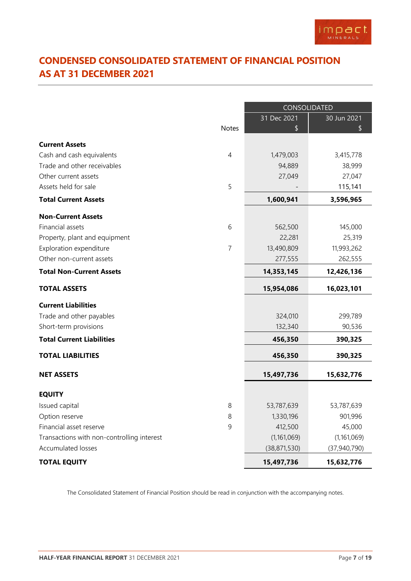

## <span id="page-7-0"></span>**CONDENSED CONSOLIDATED STATEMENT OF FINANCIAL POSITION AS AT 31 DECEMBER 2021**

|                                            |                | CONSOLIDATED   |                |  |
|--------------------------------------------|----------------|----------------|----------------|--|
|                                            |                | 31 Dec 2021    | 30 Jun 2021    |  |
|                                            | <b>Notes</b>   | \$             | \$             |  |
| <b>Current Assets</b>                      |                |                |                |  |
| Cash and cash equivalents                  | 4              | 1,479,003      | 3,415,778      |  |
| Trade and other receivables                |                | 94,889         | 38,999         |  |
| Other current assets                       |                | 27,049         | 27,047         |  |
| Assets held for sale                       | 5              |                | 115,141        |  |
| <b>Total Current Assets</b>                |                | 1,600,941      | 3,596,965      |  |
| <b>Non-Current Assets</b>                  |                |                |                |  |
| Financial assets                           | 6              | 562,500        | 145,000        |  |
| Property, plant and equipment              |                | 22,281         | 25,319         |  |
| Exploration expenditure                    | $\overline{7}$ | 13,490,809     | 11,993,262     |  |
| Other non-current assets                   |                | 277,555        | 262,555        |  |
| <b>Total Non-Current Assets</b>            |                | 14,353,145     | 12,426,136     |  |
| <b>TOTAL ASSETS</b>                        |                | 15,954,086     | 16,023,101     |  |
| <b>Current Liabilities</b>                 |                |                |                |  |
| Trade and other payables                   |                | 324,010        | 299,789        |  |
| Short-term provisions                      |                | 132,340        | 90,536         |  |
| <b>Total Current Liabilities</b>           |                | 456,350        | 390,325        |  |
| <b>TOTAL LIABILITIES</b>                   |                | 456,350        | 390,325        |  |
| <b>NET ASSETS</b>                          |                | 15,497,736     | 15,632,776     |  |
| <b>EQUITY</b>                              |                |                |                |  |
| Issued capital                             | 8              | 53,787,639     | 53,787,639     |  |
| Option reserve                             | 8              | 1,330,196      | 901,996        |  |
| Financial asset reserve                    | 9              | 412,500        | 45,000         |  |
| Transactions with non-controlling interest |                | (1, 161, 069)  | (1,161,069)    |  |
| Accumulated losses                         |                | (38, 871, 530) | (37, 940, 790) |  |
| <b>TOTAL EQUITY</b>                        |                | 15,497,736     | 15,632,776     |  |

The Consolidated Statement of Financial Position should be read in conjunction with the accompanying notes.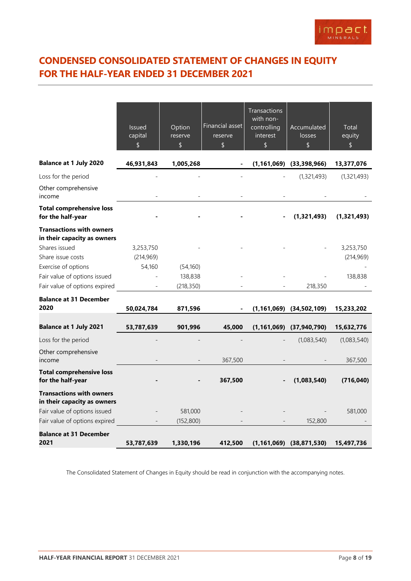## <span id="page-8-0"></span>**CONDENSED CONSOLIDATED STATEMENT OF CHANGES IN EQUITY FOR THE HALF-YEAR ENDED 31 DECEMBER 2021**

|                                                                | <b>Issued</b><br>capital<br>\$ | Option<br>reserve<br>\$ | Financial asset<br>reserve<br>\$ | <b>Transactions</b><br>with non-<br>controlling<br>interest<br>\$ | Accumulated<br>losses<br>\$      | Total<br>equity<br>\$ |
|----------------------------------------------------------------|--------------------------------|-------------------------|----------------------------------|-------------------------------------------------------------------|----------------------------------|-----------------------|
| <b>Balance at 1 July 2020</b>                                  | 46,931,843                     | 1,005,268               |                                  |                                                                   | $(1, 161, 069)$ $(33, 398, 966)$ | 13,377,076            |
| Loss for the period                                            |                                |                         |                                  |                                                                   | (1, 321, 493)                    | (1,321,493)           |
| Other comprehensive<br>income                                  |                                |                         |                                  |                                                                   |                                  |                       |
| <b>Total comprehensive loss</b><br>for the half-year           |                                |                         |                                  |                                                                   | (1,321,493)                      | (1,321,493)           |
| <b>Transactions with owners</b><br>in their capacity as owners |                                |                         |                                  |                                                                   |                                  |                       |
| Shares issued                                                  | 3,253,750                      |                         |                                  |                                                                   |                                  | 3,253,750             |
| Share issue costs                                              | (214, 969)                     |                         |                                  |                                                                   |                                  | (214, 969)            |
| Exercise of options                                            | 54,160                         | (54, 160)               |                                  |                                                                   |                                  |                       |
| Fair value of options issued                                   |                                | 138,838                 |                                  |                                                                   |                                  | 138,838               |
| Fair value of options expired                                  |                                | (218, 350)              |                                  |                                                                   | 218,350                          |                       |
| <b>Balance at 31 December</b><br>2020                          | 50,024,784                     | 871,596                 |                                  |                                                                   | $(1,161,069)$ $(34,502,109)$     | 15,233,202            |
| <b>Balance at 1 July 2021</b>                                  | 53,787,639                     | 901,996                 | 45,000                           |                                                                   | $(1,161,069)$ $(37,940,790)$     | 15,632,776            |
| Loss for the period                                            |                                |                         |                                  |                                                                   | (1,083,540)                      | (1,083,540)           |
| Other comprehensive                                            |                                |                         |                                  |                                                                   |                                  |                       |
| income                                                         |                                |                         | 367,500                          |                                                                   |                                  | 367,500               |
| <b>Total comprehensive loss</b><br>for the half-year           |                                |                         | 367,500                          |                                                                   | (1,083,540)                      | (716, 040)            |
| <b>Transactions with owners</b><br>in their capacity as owners |                                |                         |                                  |                                                                   |                                  |                       |
| Fair value of options issued                                   |                                | 581,000                 |                                  |                                                                   |                                  | 581,000               |
| Fair value of options expired                                  |                                | (152, 800)              |                                  |                                                                   | 152,800                          |                       |
| <b>Balance at 31 December</b><br>2021                          | 53,787,639                     | 1,330,196               | 412,500                          |                                                                   | $(1,161,069)$ $(38,871,530)$     | 15,497,736            |

The Consolidated Statement of Changes in Equity should be read in conjunction with the accompanying notes.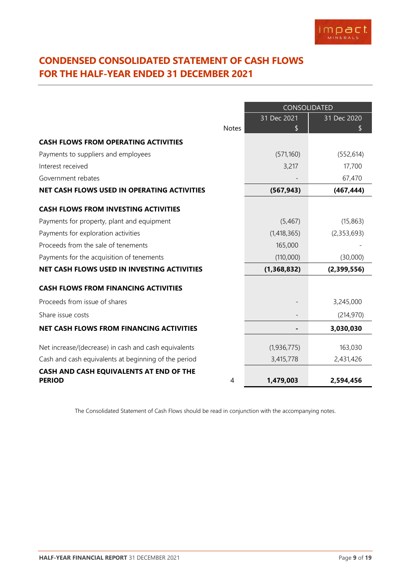## <span id="page-9-0"></span>**CONDENSED CONSOLIDATED STATEMENT OF CASH FLOWS FOR THE HALF-YEAR ENDED 31 DECEMBER 2021**

|                                                      |              | CONSOLIDATED |             |  |
|------------------------------------------------------|--------------|--------------|-------------|--|
|                                                      |              | 31 Dec 2021  | 31 Dec 2020 |  |
|                                                      | <b>Notes</b> |              |             |  |
| <b>CASH FLOWS FROM OPERATING ACTIVITIES</b>          |              |              |             |  |
| Payments to suppliers and employees                  |              | (571,160)    | (552, 614)  |  |
| Interest received                                    |              | 3,217        | 17,700      |  |
| Government rebates                                   |              |              | 67,470      |  |
| NET CASH FLOWS USED IN OPERATING ACTIVITIES          |              | (567, 943)   | (467, 444)  |  |
| <b>CASH FLOWS FROM INVESTING ACTIVITIES</b>          |              |              |             |  |
| Payments for property, plant and equipment           |              | (5,467)      | (15, 863)   |  |
| Payments for exploration activities                  |              | (1,418,365)  | (2,353,693) |  |
| Proceeds from the sale of tenements                  |              | 165,000      |             |  |
| Payments for the acquisition of tenements            |              | (110,000)    | (30,000)    |  |
| NET CASH FLOWS USED IN INVESTING ACTIVITIES          |              | (1,368,832)  | (2,399,556) |  |
| <b>CASH FLOWS FROM FINANCING ACTIVITIES</b>          |              |              |             |  |
| Proceeds from issue of shares                        |              |              | 3,245,000   |  |
| Share issue costs                                    |              |              | (214, 970)  |  |
| <b>NET CASH FLOWS FROM FINANCING ACTIVITIES</b>      |              |              | 3,030,030   |  |
| Net increase/(decrease) in cash and cash equivalents |              | (1,936,775)  | 163,030     |  |
| Cash and cash equivalents at beginning of the period |              | 3,415,778    | 2,431,426   |  |
| CASH AND CASH EQUIVALENTS AT END OF THE              |              |              |             |  |
| <b>PERIOD</b>                                        | 4            | 1,479,003    | 2,594,456   |  |

The Consolidated Statement of Cash Flows should be read in conjunction with the accompanying notes.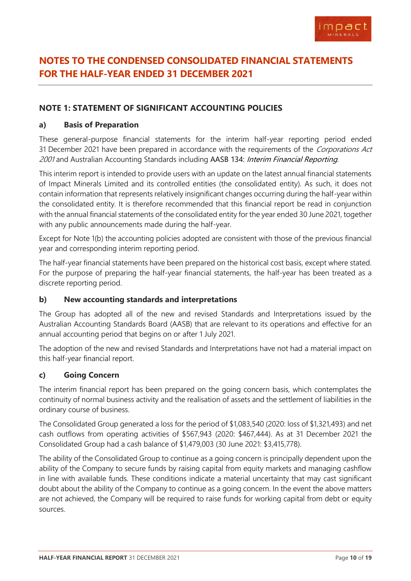

## <span id="page-10-0"></span>**NOTES TO THE CONDENSED CONSOLIDATED FINANCIAL STATEMENTS FOR THE HALF-YEAR ENDED 31 DECEMBER 2021**

#### **NOTE 1: STATEMENT OF SIGNIFICANT ACCOUNTING POLICIES**

#### **a) Basis of Preparation**

These general-purpose financial statements for the interim half-year reporting period ended 31 December 2021 have been prepared in accordance with the requirements of the Corporations Act 2001 and Australian Accounting Standards including AASB 134: Interim Financial Reporting.

This interim report is intended to provide users with an update on the latest annual financial statements of Impact Minerals Limited and its controlled entities (the consolidated entity). As such, it does not contain information that represents relatively insignificant changes occurring during the half-year within the consolidated entity. It is therefore recommended that this financial report be read in conjunction with the annual financial statements of the consolidated entity for the year ended 30 June 2021, together with any public announcements made during the half-year.

Except for Note 1(b) the accounting policies adopted are consistent with those of the previous financial year and corresponding interim reporting period.

The half-year financial statements have been prepared on the historical cost basis, except where stated. For the purpose of preparing the half-year financial statements, the half-year has been treated as a discrete reporting period.

#### **b) New accounting standards and interpretations**

The Group has adopted all of the new and revised Standards and Interpretations issued by the Australian Accounting Standards Board (AASB) that are relevant to its operations and effective for an annual accounting period that begins on or after 1 July 2021.

The adoption of the new and revised Standards and Interpretations have not had a material impact on this half-year financial report.

#### **c) Going Concern**

The interim financial report has been prepared on the going concern basis, which contemplates the continuity of normal business activity and the realisation of assets and the settlement of liabilities in the ordinary course of business.

The Consolidated Group generated a loss for the period of \$1,083,540 (2020: loss of \$1,321,493) and net cash outflows from operating activities of \$567,943 (2020: \$467,444). As at 31 December 2021 the Consolidated Group had a cash balance of \$1,479,003 (30 June 2021: \$3,415,778).

The ability of the Consolidated Group to continue as a going concern is principally dependent upon the ability of the Company to secure funds by raising capital from equity markets and managing cashflow in line with available funds. These conditions indicate a material uncertainty that may cast significant doubt about the ability of the Company to continue as a going concern. In the event the above matters are not achieved, the Company will be required to raise funds for working capital from debt or equity sources.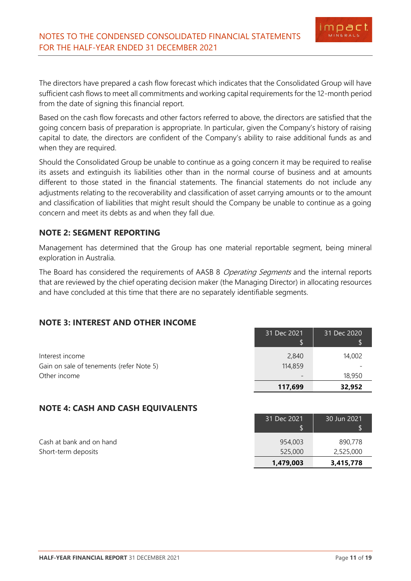The directors have prepared a cash flow forecast which indicates that the Consolidated Group will have sufficient cash flows to meet all commitments and working capital requirements for the 12-month period from the date of signing this financial report.

Based on the cash flow forecasts and other factors referred to above, the directors are satisfied that the going concern basis of preparation is appropriate. In particular, given the Company's history of raising capital to date, the directors are confident of the Company's ability to raise additional funds as and when they are required.

Should the Consolidated Group be unable to continue as a going concern it may be required to realise its assets and extinguish its liabilities other than in the normal course of business and at amounts different to those stated in the financial statements. The financial statements do not include any adjustments relating to the recoverability and classification of asset carrying amounts or to the amount and classification of liabilities that might result should the Company be unable to continue as a going concern and meet its debts as and when they fall due.

#### **NOTE 2: SEGMENT REPORTING**

Management has determined that the Group has one material reportable segment, being mineral exploration in Australia.

The Board has considered the requirements of AASB 8 Operating Segments and the internal reports that are reviewed by the chief operating decision maker (the Managing Director) in allocating resources and have concluded at this time that there are no separately identifiable segments.

#### **NOTE 3: INTEREST AND OTHER INCOME**

|                                          | 117,699     | 32,952      |
|------------------------------------------|-------------|-------------|
| Other income                             |             | 18,950      |
| Gain on sale of tenements (refer Note 5) | 114,859     |             |
| Interest income                          | 2,840       | 14,002      |
|                                          | 31 Dec 2021 | 31 Dec 2020 |

#### **NOTE 4: CASH AND CASH EQUIVALENTS**

| Cash at bank and on hand | 954,003   | 890,778   |
|--------------------------|-----------|-----------|
| Short-term deposits      | 525,000   | 2,525,000 |
|                          | 1,479,003 | 3,415,778 |

31 Dec 2021

30 Jun 2021

imnar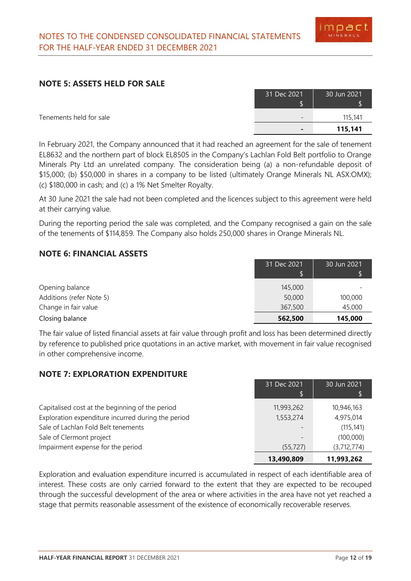#### **NOTE 5: ASSETS HELD FOR SALE**

| 31 Dec 2021 | 30 Jun 2021 |
|-------------|-------------|
|             | 115,141     |
|             | 115,141     |

Tenements held for sale

In February 2021, the Company announced that it had reached an agreement for the sale of tenement EL8632 and the northern part of block EL8505 in the Company's Lachlan Fold Belt portfolio to Orange Minerals Pty Ltd an unrelated company. The consideration being (a) a non-refundable deposit of \$15,000; (b) \$50,000 in shares in a company to be listed (ultimately Orange Minerals NL ASX:OMX); (c) \$180,000 in cash; and (c) a 1% Net Smelter Royalty.

At 30 June 2021 the sale had not been completed and the licences subject to this agreement were held at their carrying value.

During the reporting period the sale was completed, and the Company recognised a gain on the sale of the tenements of \$114,859. The Company also holds 250,000 shares in Orange Minerals NL.

#### **NOTE 6: FINANCIAL ASSETS**

|                          | 31 Dec 2021 | 30 Jun 2021 |
|--------------------------|-------------|-------------|
|                          |             |             |
| Opening balance          | 145,000     |             |
| Additions (refer Note 5) | 50,000      | 100,000     |
| Change in fair value     | 367,500     | 45,000      |
| Closing balance          | 562,500     | 145,000     |

The fair value of listed financial assets at fair value through profit and loss has been determined directly by reference to published price quotations in an active market, with movement in fair value recognised in other comprehensive income.

#### **NOTE 7: EXPLORATION EXPENDITURE**

|                                                    | 31 Dec 2021<br>ß. | 30 Jun 2021 |
|----------------------------------------------------|-------------------|-------------|
| Capitalised cost at the beginning of the period    | 11,993,262        | 10,946,163  |
| Exploration expenditure incurred during the period | 1,553,274         | 4,975,014   |
| Sale of Lachlan Fold Belt tenements                |                   | (115, 141)  |
| Sale of Clermont project                           |                   | (100,000)   |
| Impairment expense for the period                  | (55, 727)         | (3,712,774) |
|                                                    | 13,490,809        | 11,993,262  |

Exploration and evaluation expenditure incurred is accumulated in respect of each identifiable area of interest. These costs are only carried forward to the extent that they are expected to be recouped through the successful development of the area or where activities in the area have not yet reached a stage that permits reasonable assessment of the existence of economically recoverable reserves.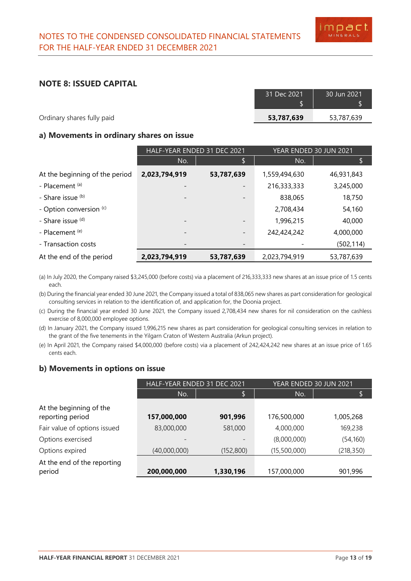#### **NOTE 8: ISSUED CAPITAL**

|                            | 31 Dec 2021 | 30 Jun 2021' |
|----------------------------|-------------|--------------|
|                            |             |              |
| Ordinary shares fully paid | 53,787,639  | 53,787,639   |
|                            |             |              |

#### **a) Movements in ordinary shares on issue**

|                                | HALF-YEAR ENDED 31 DEC 2021 |                          | YEAR ENDED 30 JUN 2021 |            |
|--------------------------------|-----------------------------|--------------------------|------------------------|------------|
|                                | No.                         | \$                       | No.                    |            |
| At the beginning of the period | 2,023,794,919               | 53,787,639               | 1,559,494,630          | 46,931,843 |
| - Placement <sup>(a)</sup>     |                             |                          | 216,333,333            | 3,245,000  |
| - Share issue (b)              |                             |                          | 838,065                | 18,750     |
| - Option conversion (c)        |                             |                          | 2,708,434              | 54,160     |
| - Share issue (d)              |                             | $\overline{\phantom{a}}$ | 1,996,215              | 40,000     |
| - Placement (e)                |                             | -                        | 242,424,242            | 4,000,000  |
| - Transaction costs            |                             |                          |                        | (502, 114) |
| At the end of the period       | 2,023,794,919               | 53,787,639               | 2,023,794,919          | 53,787,639 |

(a) In July 2020, the Company raised \$3,245,000 (before costs) via a placement of 216,333,333 new shares at an issue price of 1.5 cents each.

(b) During the financial year ended 30 June 2021, the Company issued a total of 838,065 new shares as part consideration for geological consulting services in relation to the identification of, and application for, the Doonia project.

- (c) During the financial year ended 30 June 2021, the Company issued 2,708,434 new shares for nil consideration on the cashless exercise of 8,000,000 employee options.
- (d) In January 2021, the Company issued 1,996,215 new shares as part consideration for geological consulting services in relation to the grant of the five tenements in the Yilgarn Craton of Western Australia (Arkun project).
- (e) In April 2021, the Company raised \$4,000,000 (before costs) via a placement of 242,424,242 new shares at an issue price of 1.65 cents each.

#### **b) Movements in options on issue**

|                                             | HALF-YEAR ENDED 31 DEC 2021 |            | YEAR ENDED 30 JUN 2021 |            |
|---------------------------------------------|-----------------------------|------------|------------------------|------------|
|                                             | No.                         | \$         | No.                    | \$         |
| At the beginning of the<br>reporting period | 157,000,000                 | 901,996    | 176,500,000            | 1,005,268  |
| Fair value of options issued                | 83,000,000                  | 581,000    | 4,000,000              | 169,238    |
| Options exercised                           |                             |            | (8,000,000)            | (54, 160)  |
| Options expired                             | (40,000,000)                | (152, 800) | (15,500,000)           | (218, 350) |
| At the end of the reporting<br>period       | 200,000,000                 | 1,330,196  | 157,000,000            | 901,996    |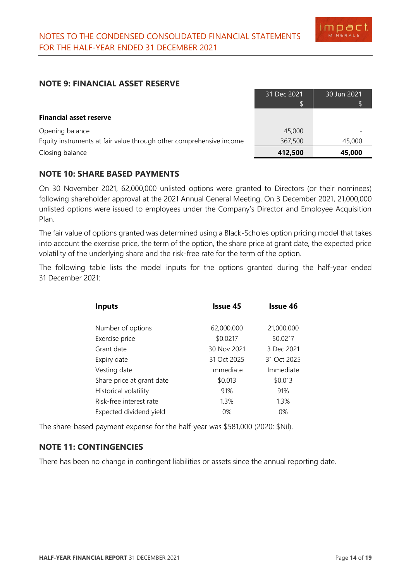#### **NOTE 9: FINANCIAL ASSET RESERVE**

|                                                                     | 31 Dec 2021 | 30 Jun 2021 |
|---------------------------------------------------------------------|-------------|-------------|
|                                                                     |             |             |
| <b>Financial asset reserve</b>                                      |             |             |
| Opening balance                                                     | 45,000      |             |
| Equity instruments at fair value through other comprehensive income | 367,500     | 45,000      |
| Closing balance                                                     | 412,500     | 45,000      |

#### **NOTE 10: SHARE BASED PAYMENTS**

On 30 November 2021, 62,000,000 unlisted options were granted to Directors (or their nominees) following shareholder approval at the 2021 Annual General Meeting. On 3 December 2021, 21,000,000 unlisted options were issued to employees under the Company's Director and Employee Acquisition Plan.

The fair value of options granted was determined using a Black-Scholes option pricing model that takes into account the exercise price, the term of the option, the share price at grant date, the expected price volatility of the underlying share and the risk-free rate for the term of the option.

The following table lists the model inputs for the options granted during the half-year ended 31 December 2021:

| <b>Inputs</b>             | Issue 45    | <b>Issue 46</b> |
|---------------------------|-------------|-----------------|
|                           |             |                 |
| Number of options         | 62,000,000  | 21,000,000      |
| Exercise price            | \$0.0217    | \$0.0217        |
| Grant date                | 30 Nov 2021 | 3 Dec 2021      |
| Expiry date               | 31 Oct 2025 | 31 Oct 2025     |
| Vesting date              | Immediate   | Immediate       |
| Share price at grant date | \$0.013     | \$0.013         |
| Historical volatility     | 91%         | 91%             |
| Risk-free interest rate   | 1.3%        | 1.3%            |
| Expected dividend yield   | $0\%$       | $0\%$           |

The share-based payment expense for the half-year was \$581,000 (2020: \$Nil).

#### **NOTE 11: CONTINGENCIES**

There has been no change in contingent liabilities or assets since the annual reporting date.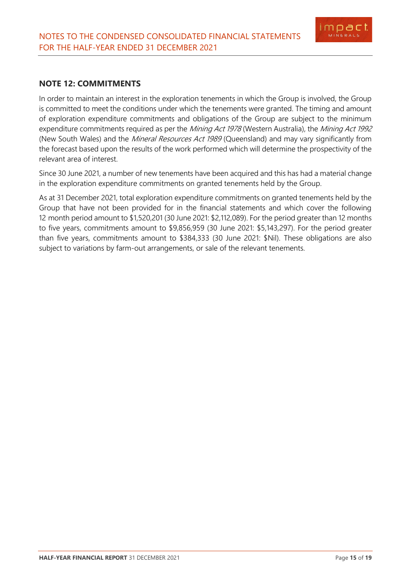

#### **NOTE 12: COMMITMENTS**

In order to maintain an interest in the exploration tenements in which the Group is involved, the Group is committed to meet the conditions under which the tenements were granted. The timing and amount of exploration expenditure commitments and obligations of the Group are subject to the minimum expenditure commitments required as per the Mining Act 1978 (Western Australia), the Mining Act 1992 (New South Wales) and the Mineral Resources Act 1989 (Queensland) and may vary significantly from the forecast based upon the results of the work performed which will determine the prospectivity of the relevant area of interest.

Since 30 June 2021, a number of new tenements have been acquired and this has had a material change in the exploration expenditure commitments on granted tenements held by the Group.

As at 31 December 2021, total exploration expenditure commitments on granted tenements held by the Group that have not been provided for in the financial statements and which cover the following 12 month period amount to \$1,520,201 (30 June 2021: \$2,112,089). For the period greater than 12 months to five years, commitments amount to \$9,856,959 (30 June 2021: \$5,143,297). For the period greater than five years, commitments amount to \$384,333 (30 June 2021: \$Nil). These obligations are also subject to variations by farm-out arrangements, or sale of the relevant tenements.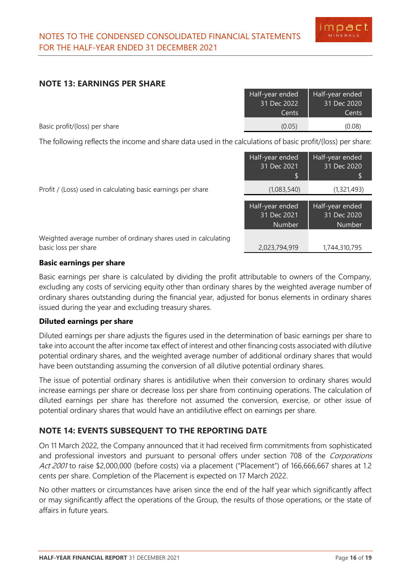#### **NOTE 13: EARNINGS PER SHARE**

|                               | Half-year ended | Half-year ended |
|-------------------------------|-----------------|-----------------|
|                               | 31 Dec 2022     | 31 Dec 2020     |
|                               | Cents.          | Cents           |
| Basic profit/(loss) per share | (0.05)          | (0.08)          |

The following reflects the income and share data used in the calculations of basic profit/(loss) per share:

|                                                                                        | Half-year ended<br>31 Dec 2021                  | Half-year ended<br>31 Dec 2020                  |
|----------------------------------------------------------------------------------------|-------------------------------------------------|-------------------------------------------------|
| Profit / (Loss) used in calculating basic earnings per share                           | (1,083,540)                                     | (1,321,493)                                     |
|                                                                                        | Half-year ended<br>31 Dec 2021<br><b>Number</b> | Half-year ended<br>31 Dec 2020<br><b>Number</b> |
| Weighted average number of ordinary shares used in calculating<br>basic loss per share | 2,023,794,919                                   | 1,744,310,795                                   |

#### **Basic earnings per share**

Basic earnings per share is calculated by dividing the profit attributable to owners of the Company, excluding any costs of servicing equity other than ordinary shares by the weighted average number of ordinary shares outstanding during the financial year, adjusted for bonus elements in ordinary shares issued during the year and excluding treasury shares.

#### **Diluted earnings per share**

Diluted earnings per share adjusts the figures used in the determination of basic earnings per share to take into account the after income tax effect of interest and other financing costs associated with dilutive potential ordinary shares, and the weighted average number of additional ordinary shares that would have been outstanding assuming the conversion of all dilutive potential ordinary shares.

The issue of potential ordinary shares is antidilutive when their conversion to ordinary shares would increase earnings per share or decrease loss per share from continuing operations. The calculation of diluted earnings per share has therefore not assumed the conversion, exercise, or other issue of potential ordinary shares that would have an antidilutive effect on earnings per share.

#### **NOTE 14: EVENTS SUBSEQUENT TO THE REPORTING DATE**

On 11 March 2022, the Company announced that it had received firm commitments from sophisticated and professional investors and pursuant to personal offers under section 708 of the Corporations Act 2001 to raise \$2,000,000 (before costs) via a placement ("Placement") of 166,666,667 shares at 1.2 cents per share. Completion of the Placement is expected on 17 March 2022.

No other matters or circumstances have arisen since the end of the half year which significantly affect or may significantly affect the operations of the Group, the results of those operations, or the state of affairs in future years.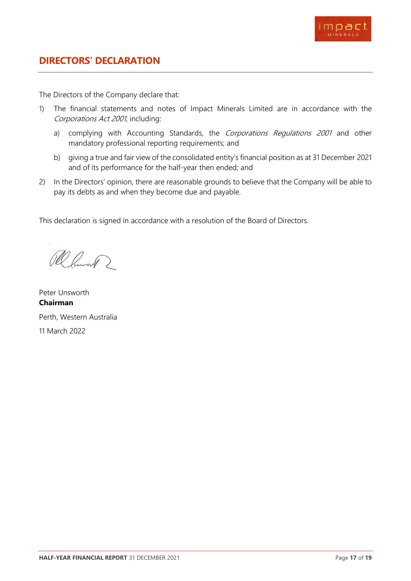

<span id="page-17-0"></span>The Directors of the Company declare that:

- 1) The financial statements and notes of Impact Minerals Limited are in accordance with the Corporations Act 2001, including:
	- a) complying with Accounting Standards, the Corporations Regulations 2001 and other mandatory professional reporting requirements; and
	- b) giving a true and fair view of the consolidated entity's financial position as at 31 December 2021 and of its performance for the half-year then ended; and
- 2) In the Directors' opinion, there are reasonable grounds to believe that the Company will be able to pay its debts as and when they become due and payable.

This declaration is signed in accordance with a resolution of the Board of Directors.

Ramont 2

Peter Unsworth **Chairman** Perth, Western Australia 11 March 2022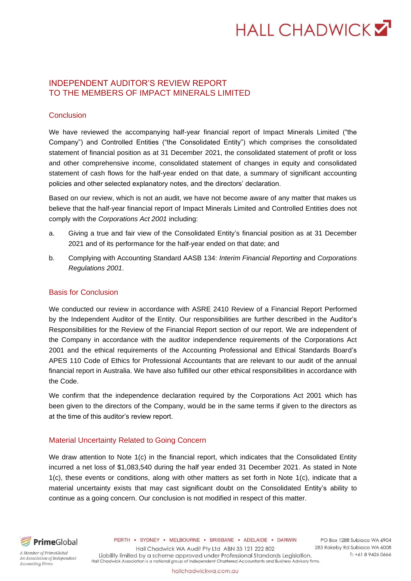# **HALL CHADWICKY**

#### INDEPENDENT AUDITOR'S REVIEW REPORT TO THE MEMBERS OF IMPACT MINERALS LIMITED

#### **Conclusion**

We have reviewed the accompanying half-year financial report of Impact Minerals Limited ("the Company") and Controlled Entities ("the Consolidated Entity") which comprises the consolidated statement of financial position as at 31 December 2021, the consolidated statement of profit or loss and other comprehensive income, consolidated statement of changes in equity and consolidated statement of cash flows for the half-year ended on that date, a summary of significant accounting policies and other selected explanatory notes, and the directors' declaration.

Based on our review, which is not an audit, we have not become aware of any matter that makes us believe that the half-year financial report of Impact Minerals Limited and Controlled Entities does not comply with the *Corporations Act 2001* including:

- a. Giving a true and fair view of the Consolidated Entity's financial position as at 31 December 2021 and of its performance for the half-year ended on that date; and
- b. Complying with Accounting Standard AASB 134: *Interim Financial Reporting* and *Corporations Regulations 2001*.

#### Basis for Conclusion

We conducted our review in accordance with ASRE 2410 Review of a Financial Report Performed by the Independent Auditor of the Entity. Our responsibilities are further described in the Auditor's Responsibilities for the Review of the Financial Report section of our report. We are independent of the Company in accordance with the auditor independence requirements of the Corporations Act 2001 and the ethical requirements of the Accounting Professional and Ethical Standards Board's APES 110 Code of Ethics for Professional Accountants that are relevant to our audit of the annual financial report in Australia. We have also fulfilled our other ethical responsibilities in accordance with the Code.

We confirm that the independence declaration required by the Corporations Act 2001 which has been given to the directors of the Company, would be in the same terms if given to the directors as at the time of this auditor's review report.

#### Material Uncertainty Related to Going Concern

We draw attention to Note 1(c) in the financial report, which indicates that the Consolidated Entity incurred a net loss of \$1,083,540 during the half year ended 31 December 2021. As stated in Note 1(c), these events or conditions, along with other matters as set forth in Note 1(c), indicate that a material uncertainty exists that may cast significant doubt on the Consolidated Entity's ability to continue as a going concern. Our conclusion is not modified in respect of this matter.



PERTH . SYDNEY . MELBOURNE . BRISBANE . ADELAIDE . DARWIN

Hall Chadwick WA Audit Pty Ltd ABN 33 121 222 802

PO Box 1288 Subiaco WA 6904 283 Rokeby Rd Subiaco WA 6008 T: +61 8 9426 0666 Hall Chadwick Association is a national group of independent Chartered Accountants and Business Advisory firms.

A Member of PrimeGlobal An Association of Independent **Accounting Firms** 

Liability limited by a scheme approved under Professional Standards Legislation.